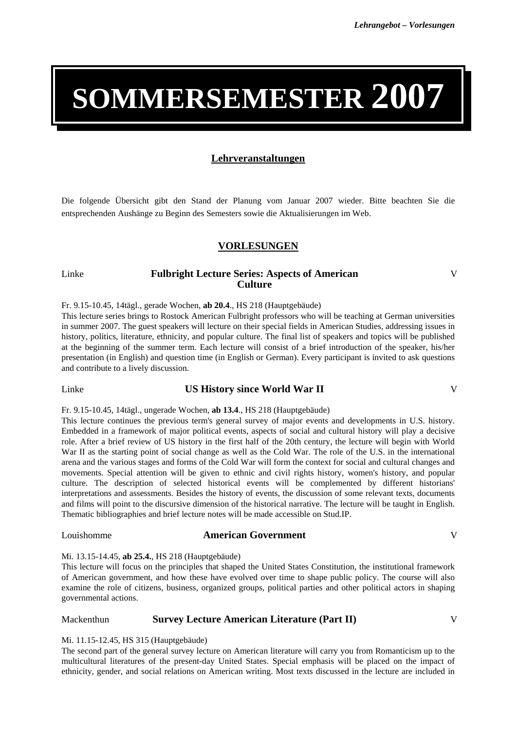# **SOMMERSEMESTER 2007**

# **Lehrveranstaltungen**

Die folgende Übersicht gibt den Stand der Planung vom Januar 2007 wieder. Bitte beachten Sie die entsprechenden Aushänge zu Beginn des Semesters sowie die Aktualisierungen im Web.

# **VORLESUNGEN**

# Linke **Fulbright Lecture Series: Aspects of American Culture**

Fr. 9.15-10.45, 14tägl., gerade Wochen, **ab 20.4**., HS 218 (Hauptgebäude)

This lecture series brings to Rostock American Fulbright professors who will be teaching at German universities in summer 2007. The guest speakers will lecture on their special fields in American Studies, addressing issues in history, politics, literature, ethnicity, and popular culture. The final list of speakers and topics will be published at the beginning of the summer term. Each lecture will consist of a brief introduction of the speaker, his/her presentation (in English) and question time (in English or German). Every participant is invited to ask questions and contribute to a lively discussion.

# Linke **US History since World War II** V

Fr. 9.15-10.45, 14tägl., ungerade Wochen, **ab 13.4**., HS 218 (Hauptgebäude)

This lecture continues the previous term's general survey of major events and developments in U.S. history. Embedded in a framework of major political events, aspects of social and cultural history will play a decisive role. After a brief review of US history in the first half of the 20th century, the lecture will begin with World War II as the starting point of social change as well as the Cold War. The role of the U.S. in the international arena and the various stages and forms of the Cold War will form the context for social and cultural changes and movements. Special attention will be given to ethnic and civil rights history, women's history, and popular culture. The description of selected historical events will be complemented by different historians' interpretations and assessments. Besides the history of events, the discussion of some relevant texts, documents and films will point to the discursive dimension of the historical narrative. The lecture will be taught in English. Thematic bibliographies and brief lecture notes will be made accessible on Stud.IP.

# Louishomme **American Government** V

#### Mi. 13.15-14.45, **ab 25.4.**, HS 218 (Hauptgebäude)

This lecture will focus on the principles that shaped the United States Constitution, the institutional framework of American government, and how these have evolved over time to shape public policy. The course will also examine the role of citizens, business, organized groups, political parties and other political actors in shaping governmental actions.

### Mackenthun **Survey Lecture American Literature (Part II)** V

V

#### Mi. 11.15-12.45, HS 315 (Hauptgebäude)

The second part of the general survey lecture on American literature will carry you from Romanticism up to the multicultural literatures of the present-day United States. Special emphasis will be placed on the impact of ethnicity, gender, and social relations on American writing. Most texts discussed in the lecture are included in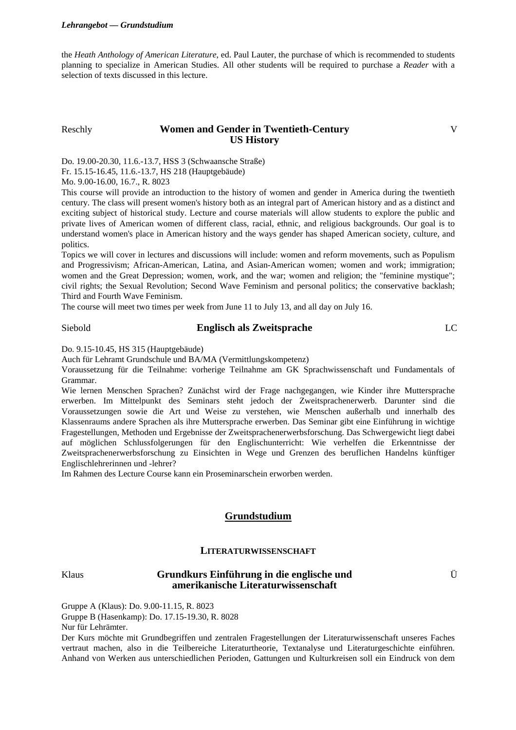the *Heath Anthology of American Literature*, ed. Paul Lauter, the purchase of which is recommended to students planning to specialize in American Studies. All other students will be required to purchase a *Reader* with a selection of texts discussed in this lecture.

# Reschly **Women and Gender in Twentieth-Century US History**

V

Do. 19.00-20.30, 11.6.-13.7, HSS 3 (Schwaansche Straße)

Fr. 15.15-16.45, 11.6.-13.7, HS 218 (Hauptgebäude)

Mo. 9.00-16.00, 16.7., R. 8023

This course will provide an introduction to the history of women and gender in America during the twentieth century. The class will present women's history both as an integral part of American history and as a distinct and exciting subject of historical study. Lecture and course materials will allow students to explore the public and private lives of American women of different class, racial, ethnic, and religious backgrounds. Our goal is to understand women's place in American history and the ways gender has shaped American society, culture, and politics.

Topics we will cover in lectures and discussions will include: women and reform movements, such as Populism and Progressivism; African-American, Latina, and Asian-American women; women and work; immigration; women and the Great Depression; women, work, and the war; women and religion; the "feminine mystique"; civil rights; the Sexual Revolution; Second Wave Feminism and personal politics; the conservative backlash; Third and Fourth Wave Feminism.

The course will meet two times per week from June 11 to July 13, and all day on July 16.

# Siebold **Englisch als Zweitsprache** LC

Do. 9.15-10.45, HS 315 (Hauptgebäude)

Auch für Lehramt Grundschule und BA/MA (Vermittlungskompetenz)

Voraussetzung für die Teilnahme: vorherige Teilnahme am GK Sprachwissenschaft und Fundamentals of Grammar.

Wie lernen Menschen Sprachen? Zunächst wird der Frage nachgegangen, wie Kinder ihre Muttersprache erwerben. Im Mittelpunkt des Seminars steht jedoch der Zweitsprachenerwerb. Darunter sind die Voraussetzungen sowie die Art und Weise zu verstehen, wie Menschen außerhalb und innerhalb des Klassenraums andere Sprachen als ihre Muttersprache erwerben. Das Seminar gibt eine Einführung in wichtige Fragestellungen, Methoden und Ergebnisse der Zweitsprachenerwerbsforschung. Das Schwergewicht liegt dabei auf möglichen Schlussfolgerungen für den Englischunterricht: Wie verhelfen die Erkenntnisse der Zweitsprachenerwerbsforschung zu Einsichten in Wege und Grenzen des beruflichen Handelns künftiger Englischlehrerinnen und -lehrer?

Im Rahmen des Lecture Course kann ein Proseminarschein erworben werden.

# **Grundstudium**

# **LITERATURWISSENSCHAFT**

# Klaus **Grundkurs Einführung in die englische und amerikanische Literaturwissenschaft**

Ü

Gruppe A (Klaus): Do. 9.00-11.15, R. 8023

Gruppe B (Hasenkamp): Do. 17.15-19.30, R. 8028

Nur für Lehrämter.

Der Kurs möchte mit Grundbegriffen und zentralen Fragestellungen der Literaturwissenschaft unseres Faches vertraut machen, also in die Teilbereiche Literaturtheorie, Textanalyse und Literaturgeschichte einführen. Anhand von Werken aus unterschiedlichen Perioden, Gattungen und Kulturkreisen soll ein Eindruck von dem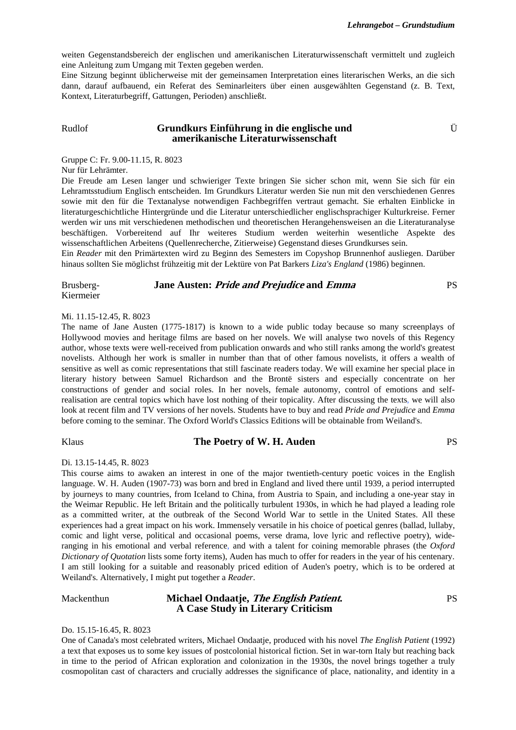Ü

weiten Gegenstandsbereich der englischen und amerikanischen Literaturwissenschaft vermittelt und zugleich eine Anleitung zum Umgang mit Texten gegeben werden.

Eine Sitzung beginnt üblicherweise mit der gemeinsamen Interpretation eines literarischen Werks, an die sich dann, darauf aufbauend, ein Referat des Seminarleiters über einen ausgewählten Gegenstand (z. B. Text, Kontext, Literaturbegriff, Gattungen, Perioden) anschließt.

# Rudlof **Grundkurs Einführung in die englische und amerikanische Literaturwissenschaft**

Gruppe C: Fr. 9.00-11.15, R. 8023

Nur für Lehrämter.

Die Freude am Lesen langer und schwieriger Texte bringen Sie sicher schon mit, wenn Sie sich für ein Lehramtsstudium Englisch entscheiden. Im Grundkurs Literatur werden Sie nun mit den verschiedenen Genres sowie mit den für die Textanalyse notwendigen Fachbegriffen vertraut gemacht. Sie erhalten Einblicke in literaturgeschichtliche Hintergründe und die Literatur unterschiedlicher englischsprachiger Kulturkreise. Ferner werden wir uns mit verschiedenen methodischen und theoretischen Herangehensweisen an die Literaturanalyse beschäftigen. Vorbereitend auf Ihr weiteres Studium werden weiterhin wesentliche Aspekte des wissenschaftlichen Arbeitens (Quellenrecherche, Zitierweise) Gegenstand dieses Grundkurses sein.

Ein *Reader* mit den Primärtexten wird zu Beginn des Semesters im Copyshop Brunnenhof ausliegen. Darüber hinaus sollten Sie möglichst frühzeitig mit der Lektüre von Pat Barkers *Liza's England* (1986) beginnen.

Brusberg-Kiermeier **Jane Austen: Pride and Prejudice and Emma** PS

#### Mi. 11.15-12.45, R. 8023

The name of Jane Austen (1775-1817) is known to a wide public today because so many screenplays of Hollywood movies and heritage films are based on her novels. We will analyse two novels of this Regency author, whose texts were well-received from publication onwards and who still ranks among the world's greatest novelists. Although her work is smaller in number than that of other famous novelists, it offers a wealth of sensitive as well as comic representations that still fascinate readers today. We will examine her special place in literary history between Samuel Richardson and the Brontë sisters and especially concentrate on her constructions of gender and social roles. In her novels, female autonomy, control of emotions and selfrealisation are central topics which have lost nothing of their topicality. After discussing the texts, we will also look at recent film and TV versions of her novels. Students have to buy and read *Pride and Prejudice* and *Emma* before coming to the seminar. The Oxford World's Classics Editions will be obtainable from Weiland's.

# Klaus **The Poetry of W. H. Auden PS**

#### Di. 13.15-14.45, R. 8023

This course aims to awaken an interest in one of the major twentieth-century poetic voices in the English language. W. H. Auden (1907-73) was born and bred in England and lived there until 1939, a period interrupted by journeys to many countries, from Iceland to China, from Austria to Spain, and including a one-year stay in the Weimar Republic. He left Britain and the politically turbulent 1930s, in which he had played a leading role as a committed writer, at the outbreak of the Second World War to settle in the United States. All these experiences had a great impact on his work. Immensely versatile in his choice of poetical genres (ballad, lullaby, comic and light verse, political and occasional poems, verse drama, love lyric and reflective poetry), wideranging in his emotional and verbal reference, and with a talent for coining memorable phrases (the *Oxford Dictionary of Quotation* lists some forty items), Auden has much to offer for readers in the year of his centenary. I am still looking for a suitable and reasonably priced edition of Auden's poetry, which is to be ordered at Weiland's. Alternatively, I might put together a *Reader*.

#### Mackenthun **Michael Ondaatje, The English Patient. A Case Study in Literary Criticism**  PS

#### Do. 15.15-16.45, R. 8023

One of Canada's most celebrated writers, Michael Ondaatje, produced with his novel *The English Patient* (1992) a text that exposes us to some key issues of postcolonial historical fiction. Set in war-torn Italy but reaching back in time to the period of African exploration and colonization in the 1930s, the novel brings together a truly cosmopolitan cast of characters and crucially addresses the significance of place, nationality, and identity in a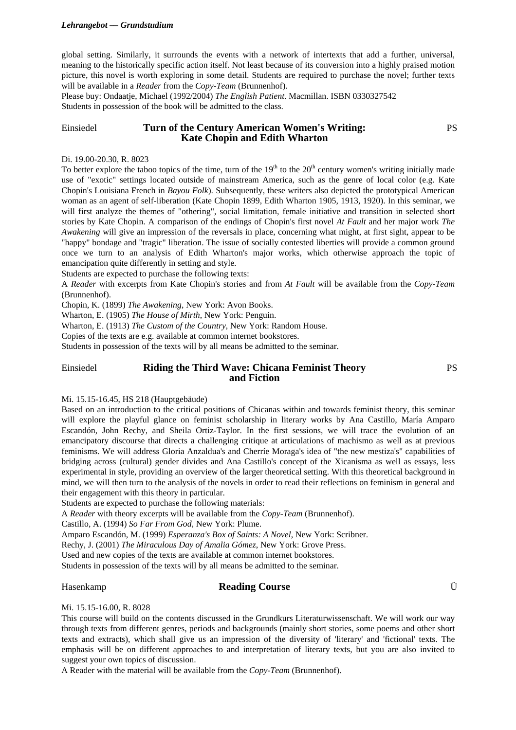#### *Lehrangebot –– Grundstudium*

global setting. Similarly, it surrounds the events with a network of intertexts that add a further, universal, meaning to the historically specific action itself. Not least because of its conversion into a highly praised motion picture, this novel is worth exploring in some detail. Students are required to purchase the novel; further texts will be available in a *Reader* from the *Copy-Team* (Brunnenhof).

Please buy: Ondaatje, Michael (1992/2004) *The English Patient*. Macmillan. ISBN 0330327542 Students in possession of the book will be admitted to the class.

# Einsiedel **Turn of the Century American Women's Writing: Kate Chopin and Edith Wharton**

#### Di. 19.00-20.30, R. 8023

To better explore the taboo topics of the time, turn of the  $19<sup>th</sup>$  to the  $20<sup>th</sup>$  century women's writing initially made use of "exotic" settings located outside of mainstream America, such as the genre of local color (e.g. Kate Chopin's Louisiana French in *Bayou Folk*). Subsequently, these writers also depicted the prototypical American woman as an agent of self-liberation (Kate Chopin 1899, Edith Wharton 1905, 1913, 1920). In this seminar, we will first analyze the themes of "othering", social limitation, female initiative and transition in selected short stories by Kate Chopin. A comparison of the endings of Chopin's first novel *At Fault* and her major work *The Awakening* will give an impression of the reversals in place, concerning what might, at first sight, appear to be "happy" bondage and "tragic" liberation. The issue of socially contested liberties will provide a common ground once we turn to an analysis of Edith Wharton's major works, which otherwise approach the topic of emancipation quite differently in setting and style.

Students are expected to purchase the following texts:

A *Reader* with excerpts from Kate Chopin's stories and from *At Fault* will be available from the *Copy-Team* (Brunnenhof).

Chopin, K. (1899) *The Awakening*, New York: Avon Books.

Wharton, E. (1905) *The House of Mirth*, New York: Penguin.

Wharton, E. (1913) *The Custom of the Country*, New York: Random House.

Copies of the texts are e.g. available at common internet bookstores.

Students in possession of the texts will by all means be admitted to the seminar.

# Einsiedel **Riding the Third Wave: Chicana Feminist Theory and Fiction**

#### Mi. 15.15-16.45, HS 218 (Hauptgebäude)

Based on an introduction to the critical positions of Chicanas within and towards feminist theory, this seminar will explore the playful glance on feminist scholarship in literary works by Ana Castillo, María Amparo Escandón, John Rechy, and Sheila Ortiz-Taylor. In the first sessions, we will trace the evolution of an emancipatory discourse that directs a challenging critique at articulations of machismo as well as at previous feminisms. We will address Gloria Anzaldua's and Cherríe Moraga's idea of "the new mestiza's" capabilities of bridging across (cultural) gender divides and Ana Castillo's concept of the Xicanisma as well as essays, less experimental in style, providing an overview of the larger theoretical setting. With this theoretical background in mind, we will then turn to the analysis of the novels in order to read their reflections on feminism in general and their engagement with this theory in particular.

Students are expected to purchase the following materials:

A *Reader* with theory excerpts will be available from the *Copy-Team* (Brunnenhof).

Castillo, A. (1994) *So Far From God*, New York: Plume.

Amparo Escandón, M. (1999) *Esperanza's Box of Saints: A Novel*, New York: Scribner.

Rechy, J. (2001) *The Miraculous Day of Amalia Gómez*, New York: Grove Press.

Used and new copies of the texts are available at common internet bookstores.

Students in possession of the texts will by all means be admitted to the seminar.

# Hasenkamp **Reading Course** Ü

PS

PS

Mi. 15.15-16.00, R. 8028

This course will build on the contents discussed in the Grundkurs Literaturwissenschaft. We will work our way through texts from different genres, periods and backgrounds (mainly short stories, some poems and other short texts and extracts), which shall give us an impression of the diversity of 'literary' and 'fictional' texts. The emphasis will be on different approaches to and interpretation of literary texts, but you are also invited to suggest your own topics of discussion.

A Reader with the material will be available from the *Copy-Team* (Brunnenhof).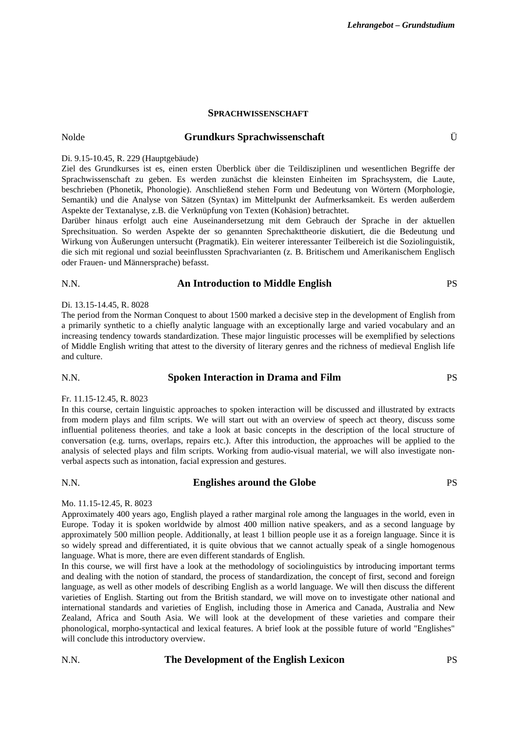# **SPRACHWISSENSCHAFT**

# Nolde **Grundkurs Sprachwissenschaft** Ü

#### Di. 9.15-10.45, R. 229 (Hauptgebäude)

Ziel des Grundkurses ist es, einen ersten Überblick über die Teildisziplinen und wesentlichen Begriffe der Sprachwissenschaft zu geben. Es werden zunächst die kleinsten Einheiten im Sprachsystem, die Laute, beschrieben (Phonetik, Phonologie). Anschließend stehen Form und Bedeutung von Wörtern (Morphologie, Semantik) und die Analyse von Sätzen (Syntax) im Mittelpunkt der Aufmerksamkeit. Es werden außerdem Aspekte der Textanalyse, z.B. die Verknüpfung von Texten (Kohäsion) betrachtet.

Darüber hinaus erfolgt auch eine Auseinandersetzung mit dem Gebrauch der Sprache in der aktuellen Sprechsituation. So werden Aspekte der so genannten Sprechakttheorie diskutiert, die die Bedeutung und Wirkung von Äußerungen untersucht (Pragmatik). Ein weiterer interessanter Teilbereich ist die Soziolinguistik, die sich mit regional und sozial beeinflussten Sprachvarianten (z. B. Britischem und Amerikanischem Englisch oder Frauen- und Männersprache) befasst.

# N.N. **An Introduction to Middle English** PS

#### Di. 13.15-14.45, R. 8028

The period from the Norman Conquest to about 1500 marked a decisive step in the development of English from a primarily synthetic to a chiefly analytic language with an exceptionally large and varied vocabulary and an increasing tendency towards standardization. These major linguistic processes will be exemplified by selections of Middle English writing that attest to the diversity of literary genres and the richness of medieval English life and culture.

# N.N. **Spoken Interaction in Drama and Film** PS

#### Fr. 11.15-12.45, R. 8023

In this course, certain linguistic approaches to spoken interaction will be discussed and illustrated by extracts from modern plays and film scripts. We will start out with an overview of speech act theory, discuss some influential politeness theories, and take a look at basic concepts in the description of the local structure of conversation (e.g. turns, overlaps, repairs etc.). After this introduction, the approaches will be applied to the analysis of selected plays and film scripts. Working from audio-visual material, we will also investigate nonverbal aspects such as intonation, facial expression and gestures.

# N.N. **Englishes around the Globe** PS

#### Mo. 11.15-12.45, R. 8023

Approximately 400 years ago, English played a rather marginal role among the languages in the world, even in Europe. Today it is spoken worldwide by almost 400 million native speakers, and as a second language by approximately 500 million people. Additionally, at least 1 billion people use it as a foreign language. Since it is so widely spread and differentiated, it is quite obvious that we cannot actually speak of a single homogenous language. What is more, there are even different standards of English.

In this course, we will first have a look at the methodology of sociolinguistics by introducing important terms and dealing with the notion of standard, the process of standardization, the concept of first, second and foreign language, as well as other models of describing English as a world language. We will then discuss the different varieties of English. Starting out from the British standard, we will move on to investigate other national and international standards and varieties of English, including those in America and Canada, Australia and New Zealand, Africa and South Asia. We will look at the development of these varieties and compare their phonological, morpho-syntactical and lexical features. A brief look at the possible future of world "Englishes" will conclude this introductory overview.

#### N.N. **The Development of the English Lexicon** PS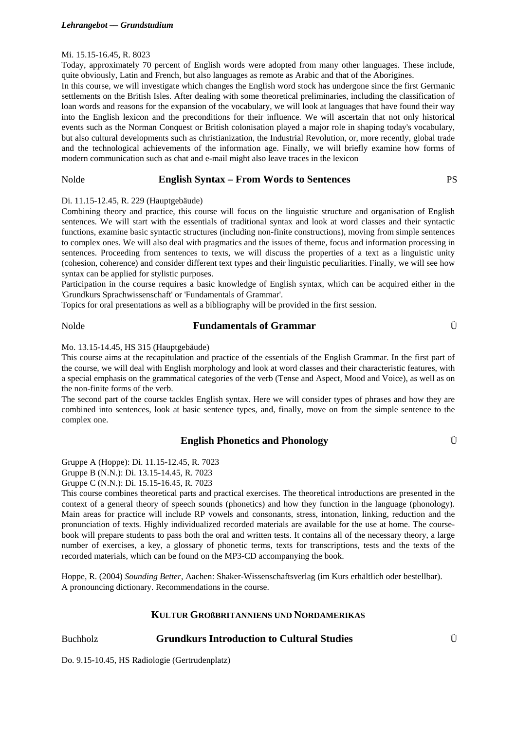#### Mi. 15.15-16.45, R. 8023

Today, approximately 70 percent of English words were adopted from many other languages. These include, quite obviously. Latin and French, but also languages as remote as Arabic and that of the Aborigines.

In this course, we will investigate which changes the English word stock has undergone since the first Germanic settlements on the British Isles. After dealing with some theoretical preliminaries, including the classification of loan words and reasons for the expansion of the vocabulary, we will look at languages that have found their way into the English lexicon and the preconditions for their influence. We will ascertain that not only historical events such as the Norman Conquest or British colonisation played a major role in shaping today's vocabulary, but also cultural developments such as christianization, the Industrial Revolution, or, more recently, global trade and the technological achievements of the information age. Finally, we will briefly examine how forms of modern communication such as chat and e-mail might also leave traces in the lexicon

# Nolde **English Syntax – From Words to Sentences** PS

#### Di. 11.15-12.45, R. 229 (Hauptgebäude)

Combining theory and practice, this course will focus on the linguistic structure and organisation of English sentences. We will start with the essentials of traditional syntax and look at word classes and their syntactic functions, examine basic syntactic structures (including non-finite constructions), moving from simple sentences to complex ones. We will also deal with pragmatics and the issues of theme, focus and information processing in sentences. Proceeding from sentences to texts, we will discuss the properties of a text as a linguistic unity (cohesion, coherence) and consider different text types and their linguistic peculiarities. Finally, we will see how syntax can be applied for stylistic purposes.

Participation in the course requires a basic knowledge of English syntax, which can be acquired either in the 'Grundkurs Sprachwissenschaft' or 'Fundamentals of Grammar'.

Topics for oral presentations as well as a bibliography will be provided in the first session.

# Nolde **Fundamentals of Grammar** Ü

#### Mo. 13.15-14.45, HS 315 (Hauptgebäude)

This course aims at the recapitulation and practice of the essentials of the English Grammar. In the first part of the course, we will deal with English morphology and look at word classes and their characteristic features, with a special emphasis on the grammatical categories of the verb (Tense and Aspect, Mood and Voice), as well as on the non-finite forms of the verb.

The second part of the course tackles English syntax. Here we will consider types of phrases and how they are combined into sentences, look at basic sentence types, and, finally, move on from the simple sentence to the complex one.

# **English Phonetics and Phonology** Ü

Gruppe A (Hoppe): Di. 11.15-12.45, R. 7023

Gruppe B (N.N.): Di. 13.15-14.45, R. 7023

Gruppe C (N.N.): Di. 15.15-16.45, R. 7023

This course combines theoretical parts and practical exercises. The theoretical introductions are presented in the context of a general theory of speech sounds (phonetics) and how they function in the language (phonology). Main areas for practice will include RP vowels and consonants, stress, intonation, linking, reduction and the pronunciation of texts. Highly individualized recorded materials are available for the use at home. The coursebook will prepare students to pass both the oral and written tests. It contains all of the necessary theory, a large number of exercises, a key, a glossary of phonetic terms, texts for transcriptions, tests and the texts of the recorded materials, which can be found on the MP3-CD accompanying the book.

Hoppe, R. (2004) *Sounding Better*, Aachen: Shaker-Wissenschaftsverlag (im Kurs erhältlich oder bestellbar). A pronouncing dictionary. Recommendations in the course.

### **KULTUR GROßBRITANNIENS UND NORDAMERIKAS**

# Buchholz **Grundkurs Introduction to Cultural Studies** Ü

Do. 9.15-10.45, HS Radiologie (Gertrudenplatz)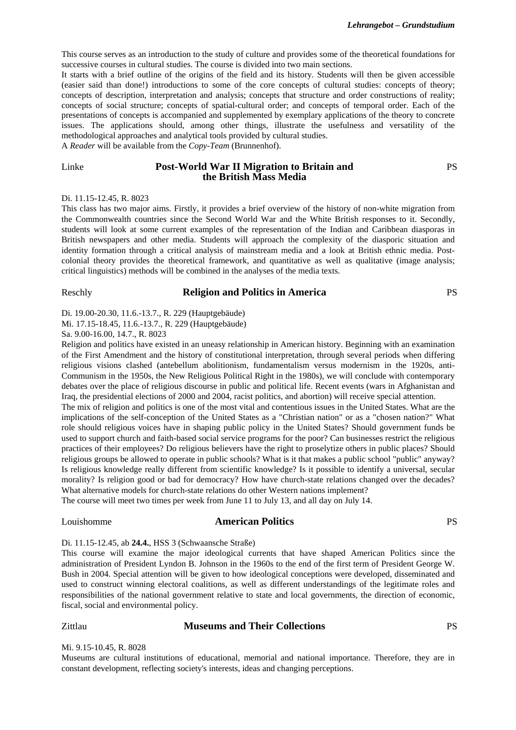This course serves as an introduction to the study of culture and provides some of the theoretical foundations for successive courses in cultural studies. The course is divided into two main sections.

It starts with a brief outline of the origins of the field and its history. Students will then be given accessible (easier said than done!) introductions to some of the core concepts of cultural studies: concepts of theory; concepts of description, interpretation and analysis; concepts that structure and order constructions of reality; concepts of social structure; concepts of spatial-cultural order; and concepts of temporal order. Each of the presentations of concepts is accompanied and supplemented by exemplary applications of the theory to concrete issues. The applications should, among other things, illustrate the usefulness and versatility of the methodological approaches and analytical tools provided by cultural studies.

A *Reader* will be available from the *Copy-Team* (Brunnenhof).

# Linke **Post-World War II Migration to Britain and the British Mass Media**

#### Di. 11.15-12.45, R. 8023

This class has two major aims. Firstly, it provides a brief overview of the history of non-white migration from the Commonwealth countries since the Second World War and the White British responses to it. Secondly, students will look at some current examples of the representation of the Indian and Caribbean diasporas in British newspapers and other media. Students will approach the complexity of the diasporic situation and identity formation through a critical analysis of mainstream media and a look at British ethnic media. Postcolonial theory provides the theoretical framework, and quantitative as well as qualitative (image analysis; critical linguistics) methods will be combined in the analyses of the media texts.

#### Reschly **Religion and Politics in America** PS

PS

Di. 19.00-20.30, 11.6.-13.7., R. 229 (Hauptgebäude)

Mi. 17.15-18.45, 11.6.-13.7., R. 229 (Hauptgebäude)

Sa. 9.00-16.00, 14.7., R. 8023

Religion and politics have existed in an uneasy relationship in American history. Beginning with an examination of the First Amendment and the history of constitutional interpretation, through several periods when differing religious visions clashed (antebellum abolitionism, fundamentalism versus modernism in the 1920s, anti-Communism in the 1950s, the New Religious Political Right in the 1980s), we will conclude with contemporary debates over the place of religious discourse in public and political life. Recent events (wars in Afghanistan and Iraq, the presidential elections of 2000 and 2004, racist politics, and abortion) will receive special attention.

The mix of religion and politics is one of the most vital and contentious issues in the United States. What are the implications of the self-conception of the United States as a "Christian nation" or as a "chosen nation?" What role should religious voices have in shaping public policy in the United States? Should government funds be used to support church and faith-based social service programs for the poor? Can businesses restrict the religious practices of their employees? Do religious believers have the right to proselytize others in public places? Should religious groups be allowed to operate in public schools? What is it that makes a public school "public" anyway? Is religious knowledge really different from scientific knowledge? Is it possible to identify a universal, secular morality? Is religion good or bad for democracy? How have church-state relations changed over the decades? What alternative models for church-state relations do other Western nations implement?

The course will meet two times per week from June 11 to July 13, and all day on July 14.

### Louishomme **American Politics** PS

# Di. 11.15-12.45, ab **24.4.**, HSS 3 (Schwaansche Straße)

This course will examine the major ideological currents that have shaped American Politics since the administration of President Lyndon B. Johnson in the 1960s to the end of the first term of President George W. Bush in 2004. Special attention will be given to how ideological conceptions were developed, disseminated and used to construct winning electoral coalitions, as well as different understandings of the legitimate roles and responsibilities of the national government relative to state and local governments, the direction of economic, fiscal, social and environmental policy.

#### Zittlau **Museums and Their Collections** PS

#### Mi. 9.15-10.45, R. 8028

Museums are cultural institutions of educational, memorial and national importance. Therefore, they are in constant development, reflecting society's interests, ideas and changing perceptions.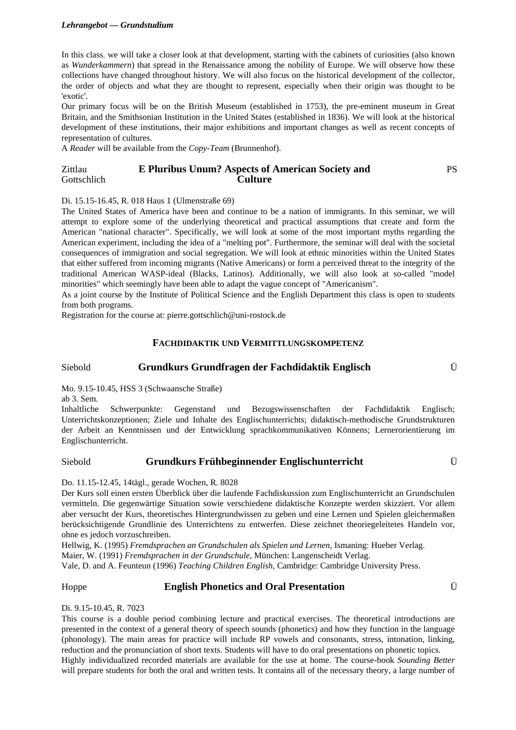### *Lehrangebot –– Grundstudium*

In this class, we will take a closer look at that development, starting with the cabinets of curiosities (also known as *Wunderkammern*) that spread in the Renaissance among the nobility of Europe. We will observe how these collections have changed throughout history. We will also focus on the historical development of the collector, the order of objects and what they are thought to represent, especially when their origin was thought to be 'exotic'.

Our primary focus will be on the British Museum (established in 1753), the pre-eminent museum in Great Britain, and the Smithsonian Institution in the United States (established in 1836). We will look at the historical development of these institutions, their major exhibitions and important changes as well as recent concepts of representation of cultures.

A *Reader* will be available from the *Copy-Team* (Brunnenhof).

#### Zittlau Gottschlich **E Pluribus Unum? Aspects of American Society and Culture**  PS

### Di. 15.15-16.45, R. 018 Haus 1 (Ulmenstraße 69)

The United States of America have been and continue to be a nation of immigrants. In this seminar, we will attempt to explore some of the underlying theoretical and practical assumptions that create and form the American "national character". Specifically, we will look at some of the most important myths regarding the American experiment, including the idea of a "melting pot". Furthermore, the seminar will deal with the societal consequences of immigration and social segregation. We will look at ethnic minorities within the United States that either suffered from incoming migrants (Native Americans) or form a perceived threat to the integrity of the traditional American WASP-ideal (Blacks, Latinos). Additionally, we will also look at so-called "model minorities" which seemingly have been able to adapt the vague concept of "Americanism".

As a joint course by the Institute of Political Science and the English Department this class is open to students from both programs.

Registration for the course at: pierre.gottschlich@uni-rostock.de

# **FACHDIDAKTIK UND VERMITTLUNGSKOMPETENZ**

# Siebold **Grundkurs Grundfragen der Fachdidaktik Englisch** Ü

Mo. 9.15-10.45, HSS 3 (Schwaansche Straße)

ab 3. Sem.

Inhaltliche Schwerpunkte: Gegenstand und Bezugswissenschaften der Fachdidaktik Englisch; Unterrichtskonzeptionen; Ziele und Inhalte des Englischunterrichts; didaktisch-methodische Grundstrukturen der Arbeit an Kenntnissen und der Entwicklung sprachkommunikativen Könnens; Lernerorientierung im Englischunterricht.

# Siebold **Grundkurs Frühbeginnender Englischunterricht** Ü

Do. 11.15-12.45, 14tägl., gerade Wochen, R. 8028

Der Kurs soll einen ersten Überblick über die laufende Fachdiskussion zum Englischunterricht an Grundschulen vermitteln. Die gegenwärtige Situation sowie verschiedene didaktische Konzepte werden skizziert. Vor allem aber versucht der Kurs, theoretisches Hintergrundwissen zu geben und eine Lernen und Spielen gleichermaßen berücksichtigende Grundlinie des Unterrichtens zu entwerfen. Diese zeichnet theoriegeleitetes Handeln vor, ohne es jedoch vorzuschreiben.

Hellwig, K. (1995) *Fremdsprachen an Grundschulen als Spielen und Lernen*, Ismaning: Hueber Verlag. Maier, W. (1991) *Fremdsprachen in der Grundschule*, München: Langenscheidt Verlag. Vale, D. and A. Feunteun (1996) *Teaching Children English*, Cambridge: Cambridge University Press.

### Hoppe **English Phonetics and Oral Presentation** Ü

Di. 9.15-10.45, R. 7023

This course is a double period combining lecture and practical exercises. The theoretical introductions are presented in the context of a general theory of speech sounds (phonetics) and how they function in the language (phonology). The main areas for practice will include RP vowels and consonants, stress, intonation, linking, reduction and the pronunciation of short texts. Students will have to do oral presentations on phonetic topics. Highly individualized recorded materials are available for the use at home. The course-book *Sounding Better*

will prepare students for both the oral and written tests. It contains all of the necessary theory, a large number of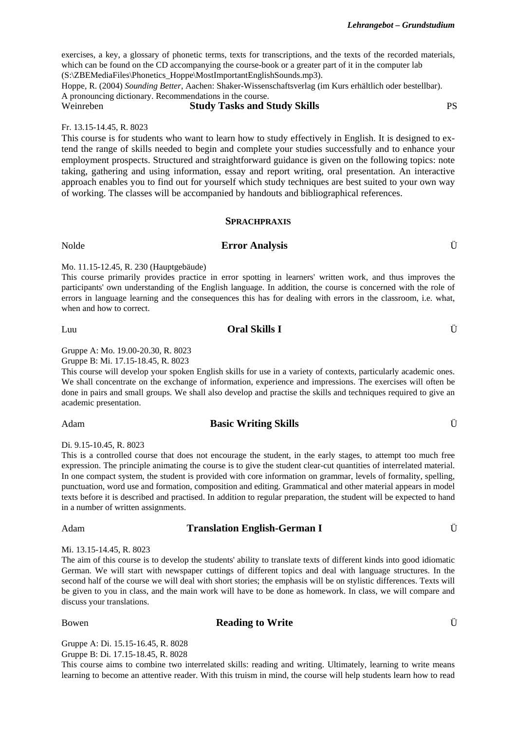exercises, a key, a glossary of phonetic terms, texts for transcriptions, and the texts of the recorded materials, which can be found on the CD accompanying the course-book or a greater part of it in the computer lab (S:\ZBEMediaFiles\Phonetics\_Hoppe\MostImportantEnglishSounds.mp3).

Hoppe, R. (2004) *Sounding Better*, Aachen: Shaker-Wissenschaftsverlag (im Kurs erhältlich oder bestellbar). A pronouncing dictionary. Recommendations in the course.

# Weinreben **Study Tasks and Study Skills** PS

Fr. 13.15-14.45, R. 8023

This course is for students who want to learn how to study effectively in English. It is designed to extend the range of skills needed to begin and complete your studies successfully and to enhance your employment prospects. Structured and straightforward guidance is given on the following topics: note taking, gathering and using information, essay and report writing, oral presentation. An interactive approach enables you to find out for yourself which study techniques are best suited to your own way of working. The classes will be accompanied by handouts and bibliographical references.

### **SPRACHPRAXIS**

# Nolde **Error Analysis** Ü

### Mo. 11.15-12.45, R. 230 (Hauptgebäude)

This course primarily provides practice in error spotting in learners' written work, and thus improves the participants' own understanding of the English language. In addition, the course is concerned with the role of errors in language learning and the consequences this has for dealing with errors in the classroom, i.e. what, when and how to correct.

# Luu **Oral Skills I** Ü

Gruppe A: Mo. 19.00-20.30, R. 8023

Gruppe B: Mi. 17.15-18.45, R. 8023

This course will develop your spoken English skills for use in a variety of contexts, particularly academic ones. We shall concentrate on the exchange of information, experience and impressions. The exercises will often be done in pairs and small groups. We shall also develop and practise the skills and techniques required to give an academic presentation.

### Adam **Basic Writing Skills** Ü

Di. 9.15-10.45, R. 8023

This is a controlled course that does not encourage the student, in the early stages, to attempt too much free expression. The principle animating the course is to give the student clear-cut quantities of interrelated material. In one compact system, the student is provided with core information on grammar, levels of formality, spelling, punctuation, word use and formation, composition and editing. Grammatical and other material appears in model texts before it is described and practised. In addition to regular preparation, the student will be expected to hand in a number of written assignments.

# Adam **Translation English-German I** Ü

Mi. 13.15-14.45, R. 8023

The aim of this course is to develop the students' ability to translate texts of different kinds into good idiomatic German. We will start with newspaper cuttings of different topics and deal with language structures. In the second half of the course we will deal with short stories; the emphasis will be on stylistic differences. Texts will be given to you in class, and the main work will have to be done as homework. In class, we will compare and discuss your translations.

Bowen **Reading to Write Example 1 U U U** 

Gruppe A: Di. 15.15-16.45, R. 8028 Gruppe B: Di. 17.15-18.45, R. 8028

This course aims to combine two interrelated skills: reading and writing. Ultimately, learning to write means learning to become an attentive reader. With this truism in mind, the course will help students learn how to read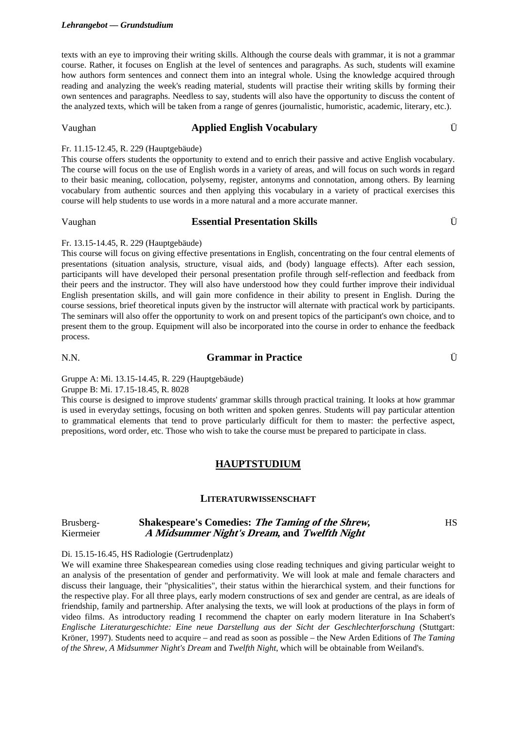texts with an eye to improving their writing skills. Although the course deals with grammar, it is not a grammar course. Rather, it focuses on English at the level of sentences and paragraphs. As such, students will examine how authors form sentences and connect them into an integral whole. Using the knowledge acquired through reading and analyzing the week's reading material, students will practise their writing skills by forming their own sentences and paragraphs. Needless to say, students will also have the opportunity to discuss the content of the analyzed texts, which will be taken from a range of genres (journalistic, humoristic, academic, literary, etc.).

# Vaughan **Applied English Vocabulary** Ü

#### Fr. 11.15-12.45, R. 229 (Hauptgebäude)

This course offers students the opportunity to extend and to enrich their passive and active English vocabulary. The course will focus on the use of English words in a variety of areas, and will focus on such words in regard to their basic meaning, collocation, polysemy, register, antonyms and connotation, among others. By learning vocabulary from authentic sources and then applying this vocabulary in a variety of practical exercises this course will help students to use words in a more natural and a more accurate manner.

#### Vaughan **Essential Presentation Skills** Ü

#### Fr. 13.15-14.45, R. 229 (Hauptgebäude)

This course will focus on giving effective presentations in English, concentrating on the four central elements of presentations (situation analysis, structure, visual aids, and (body) language effects). After each session, participants will have developed their personal presentation profile through self-reflection and feedback from their peers and the instructor. They will also have understood how they could further improve their individual English presentation skills, and will gain more confidence in their ability to present in English. During the course sessions, brief theoretical inputs given by the instructor will alternate with practical work by participants. The seminars will also offer the opportunity to work on and present topics of the participant's own choice, and to present them to the group. Equipment will also be incorporated into the course in order to enhance the feedback process.

# N.N. **Grammar in Practice** Ü

HS

Gruppe A: Mi. 13.15-14.45, R. 229 (Hauptgebäude)

Gruppe B: Mi. 17.15-18.45, R. 8028

This course is designed to improve students' grammar skills through practical training. It looks at how grammar is used in everyday settings, focusing on both written and spoken genres. Students will pay particular attention to grammatical elements that tend to prove particularly difficult for them to master: the perfective aspect, prepositions, word order, etc. Those who wish to take the course must be prepared to participate in class.

### **HAUPTSTUDIUM**

#### **LITERATURWISSENSCHAFT**

#### Brusberg-Kiermeier **Shakespeare's Comedies: The Taming of the Shrew, A Midsummer Night's Dream, and Twelfth Night**

Di. 15.15-16.45, HS Radiologie (Gertrudenplatz)

We will examine three Shakespearean comedies using close reading techniques and giving particular weight to an analysis of the presentation of gender and performativity. We will look at male and female characters and discuss their language, their "physicalities", their status within the hierarchical system, and their functions for the respective play. For all three plays, early modern constructions of sex and gender are central, as are ideals of friendship, family and partnership. After analysing the texts, we will look at productions of the plays in form of video films. As introductory reading I recommend the chapter on early modern literature in Ina Schabert's *Englische Literaturgeschichte: Eine neue Darstellung aus der Sicht der Geschlechterforschung* (Stuttgart: Kröner, 1997). Students need to acquire – and read as soon as possible – the New Arden Editions of *The Taming of the Shrew*, *A Midsummer Night's Dream* and *Twelfth Night*, which will be obtainable from Weiland's.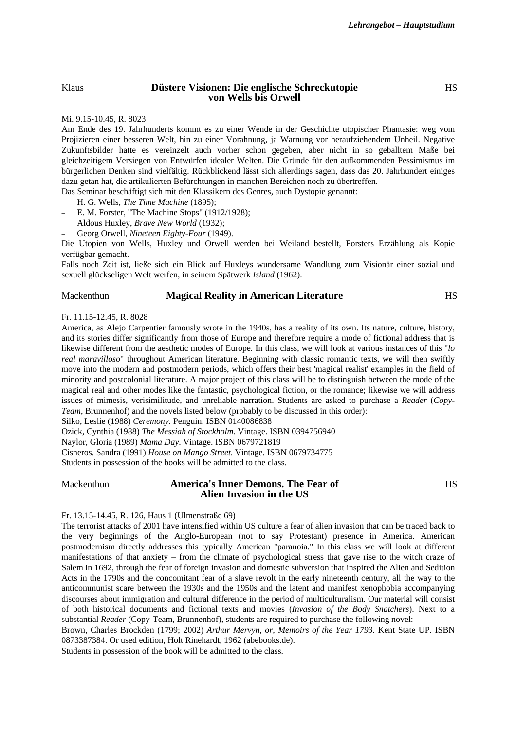#### Klaus **Düstere Visionen: Die englische Schreckutopie von Wells bis Orwell**

**HS** 

#### Mi. 9.15-10.45, R. 8023

Am Ende des 19. Jahrhunderts kommt es zu einer Wende in der Geschichte utopischer Phantasie: weg vom Projizieren einer besseren Welt, hin zu einer Vorahnung, ja Warnung vor heraufziehendem Unheil. Negative Zukunftsbilder hatte es vereinzelt auch vorher schon gegeben, aber nicht in so geballtem Maße bei gleichzeitigem Versiegen von Entwürfen idealer Welten. Die Gründe für den aufkommenden Pessimismus im bürgerlichen Denken sind vielfältig. Rückblickend lässt sich allerdings sagen, dass das 20. Jahrhundert einiges dazu getan hat, die artikulierten Befürchtungen in manchen Bereichen noch zu übertreffen.

Das Seminar beschäftigt sich mit den Klassikern des Genres, auch Dystopie genannt:

- − H. G. Wells, *The Time Machine* (1895);
- E. M. Forster, "The Machine Stops" (1912/1928);
- − Aldous Huxley, *Brave New World* (1932);
- − Georg Orwell, *Nineteen Eighty-Four* (1949).

Die Utopien von Wells, Huxley und Orwell werden bei Weiland bestellt, Forsters Erzählung als Kopie verfügbar gemacht.

Falls noch Zeit ist, ließe sich ein Blick auf Huxleys wundersame Wandlung zum Visionär einer sozial und sexuell glückseligen Welt werfen, in seinem Spätwerk *Island* (1962).

#### Mackenthun **Magical Reality in American Literature** HS

#### Fr. 11.15-12.45, R. 8028

America, as Alejo Carpentier famously wrote in the 1940s, has a reality of its own. Its nature, culture, history, and its stories differ significantly from those of Europe and therefore require a mode of fictional address that is likewise different from the aesthetic modes of Europe. In this class, we will look at various instances of this "*lo real maravilloso*" throughout American literature. Beginning with classic romantic texts, we will then swiftly move into the modern and postmodern periods, which offers their best 'magical realist' examples in the field of minority and postcolonial literature. A major project of this class will be to distinguish between the mode of the magical real and other modes like the fantastic, psychological fiction, or the romance; likewise we will address issues of mimesis, verisimilitude, and unreliable narration. Students are asked to purchase a *Reader* (*Copy-Team*, Brunnenhof) and the novels listed below (probably to be discussed in this order):

Silko, Leslie (1988) *Ceremony.* Penguin. ISBN 0140086838

Ozick, Cynthia (1988) *The Messiah of Stockholm*. Vintage. ISBN 0394756940

Naylor, Gloria (1989) *Mama Day*. Vintage. ISBN 0679721819

Cisneros, Sandra (1991) *House on Mango Street*. Vintage. ISBN 0679734775

Students in possession of the books will be admitted to the class.

Mackenthun **America's Inner Demons. The Fear of Alien Invasion in the US** 

HS

#### Fr. 13.15-14.45, R. 126, Haus 1 (Ulmenstraße 69)

The terrorist attacks of 2001 have intensified within US culture a fear of alien invasion that can be traced back to the very beginnings of the Anglo-European (not to say Protestant) presence in America. American postmodernism directly addresses this typically American "paranoia." In this class we will look at different manifestations of that anxiety – from the climate of psychological stress that gave rise to the witch craze of Salem in 1692, through the fear of foreign invasion and domestic subversion that inspired the Alien and Sedition Acts in the 1790s and the concomitant fear of a slave revolt in the early nineteenth century, all the way to the anticommunist scare between the 1930s and the 1950s and the latent and manifest xenophobia accompanying discourses about immigration and cultural difference in the period of multiculturalism. Our material will consist of both historical documents and fictional texts and movies (*Invasion of the Body Snatchers*). Next to a substantial *Reader* (Copy-Team, Brunnenhof), students are required to purchase the following novel:

Brown, Charles Brockden (1799; 2002) *Arthur Mervyn, or, Memoirs of the Year 1793*. Kent State UP. ISBN 0873387384. Or used edition, Holt Rinehardt, 1962 (abebooks.de).

Students in possession of the book will be admitted to the class.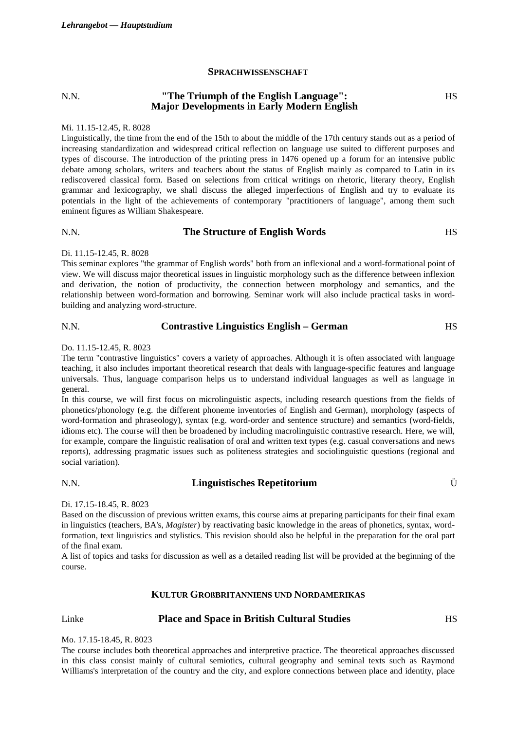### **SPRACHWISSENSCHAFT**

#### N.N. **"The Triumph of the English Language": Major Developments in Early Modern English HS**

#### Mi. 11.15-12.45, R. 8028

Linguistically, the time from the end of the 15th to about the middle of the 17th century stands out as a period of increasing standardization and widespread critical reflection on language use suited to different purposes and types of discourse. The introduction of the printing press in 1476 opened up a forum for an intensive public debate among scholars, writers and teachers about the status of English mainly as compared to Latin in its rediscovered classical form. Based on selections from critical writings on rhetoric, literary theory, English grammar and lexicography, we shall discuss the alleged imperfections of English and try to evaluate its potentials in the light of the achievements of contemporary "practitioners of language", among them such eminent figures as William Shakespeare.

# N.N. **The Structure of English Words** HS

### Di. 11.15-12.45, R. 8028

This seminar explores "the grammar of English words" both from an inflexional and a word-formational point of view. We will discuss major theoretical issues in linguistic morphology such as the difference between inflexion and derivation, the notion of productivity, the connection between morphology and semantics, and the relationship between word-formation and borrowing. Seminar work will also include practical tasks in wordbuilding and analyzing word-structure.

# N.N. **Contrastive Linguistics English – German** HS

### Do. 11.15-12.45, R. 8023

The term "contrastive linguistics" covers a variety of approaches. Although it is often associated with language teaching, it also includes important theoretical research that deals with language-specific features and language universals. Thus, language comparison helps us to understand individual languages as well as language in general.

In this course, we will first focus on microlinguistic aspects, including research questions from the fields of phonetics/phonology (e.g. the different phoneme inventories of English and German), morphology (aspects of word-formation and phraseology), syntax (e.g. word-order and sentence structure) and semantics (word-fields, idioms etc). The course will then be broadened by including macrolinguistic contrastive research. Here, we will, for example, compare the linguistic realisation of oral and written text types (e.g. casual conversations and news reports), addressing pragmatic issues such as politeness strategies and sociolinguistic questions (regional and social variation).

# N.N. **Linguistisches Repetitorium** Ü

### Di. 17.15-18.45, R. 8023

Based on the discussion of previous written exams, this course aims at preparing participants for their final exam in linguistics (teachers, BA's, *Magister*) by reactivating basic knowledge in the areas of phonetics, syntax, wordformation, text linguistics and stylistics. This revision should also be helpful in the preparation for the oral part of the final exam.

A list of topics and tasks for discussion as well as a detailed reading list will be provided at the beginning of the course.

# **KULTUR GROßBRITANNIENS UND NORDAMERIKAS**

# Linke **Place and Space in British Cultural Studies** HS

#### Mo. 17.15-18.45, R. 8023

The course includes both theoretical approaches and interpretive practice. The theoretical approaches discussed in this class consist mainly of cultural semiotics, cultural geography and seminal texts such as Raymond Williams's interpretation of the country and the city, and explore connections between place and identity, place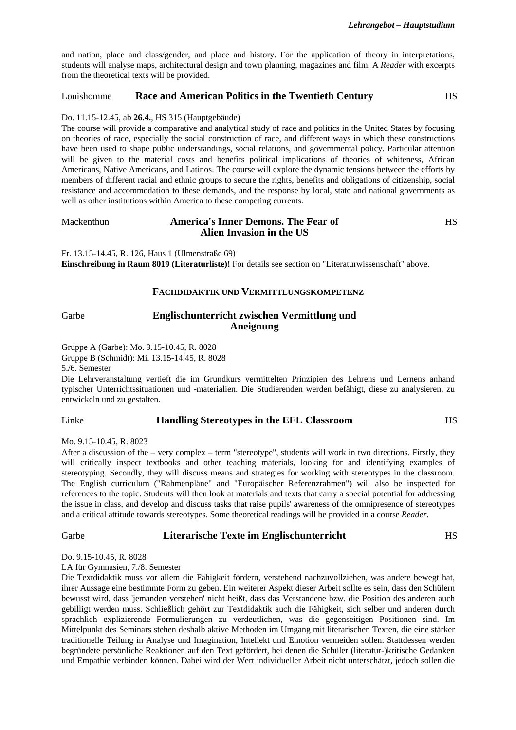and nation, place and class/gender, and place and history. For the application of theory in interpretations, students will analyse maps, architectural design and town planning, magazines and film. A *Reader* with excerpts from the theoretical texts will be provided.

# Louishomme **Race and American Politics in the Twentieth Century** HS

#### Do. 11.15-12.45, ab **26.4.**, HS 315 (Hauptgebäude)

The course will provide a comparative and analytical study of race and politics in the United States by focusing on theories of race, especially the social construction of race, and different ways in which these constructions have been used to shape public understandings, social relations, and governmental policy. Particular attention will be given to the material costs and benefits political implications of theories of whiteness, African Americans, Native Americans, and Latinos. The course will explore the dynamic tensions between the efforts by members of different racial and ethnic groups to secure the rights, benefits and obligations of citizenship, social resistance and accommodation to these demands, and the response by local, state and national governments as well as other institutions within America to these competing currents.

| Mackenthun | <b>America's Inner Demons. The Fear of</b> | HS |
|------------|--------------------------------------------|----|
|            | Alien Invasion in the US                   |    |

Fr. 13.15-14.45, R. 126, Haus 1 (Ulmenstraße 69) **Einschreibung in Raum 8019 (Literaturliste)!** For details see section on "Literaturwissenschaft" above.

### **FACHDIDAKTIK UND VERMITTLUNGSKOMPETENZ**

# Garbe **Englischunterricht zwischen Vermittlung und Aneignung**

Gruppe A (Garbe): Mo. 9.15-10.45, R. 8028

Gruppe B (Schmidt): Mi. 13.15-14.45, R. 8028

5./6. Semester

Die Lehrveranstaltung vertieft die im Grundkurs vermittelten Prinzipien des Lehrens und Lernens anhand typischer Unterrichtssituationen und -materialien. Die Studierenden werden befähigt, diese zu analysieren, zu entwickeln und zu gestalten.

### Linke **Handling Stereotypes in the EFL Classroom** HS

Mo. 9.15-10.45, R. 8023

After a discussion of the – very complex – term "stereotype", students will work in two directions. Firstly, they will critically inspect textbooks and other teaching materials, looking for and identifying examples of stereotyping. Secondly, they will discuss means and strategies for working with stereotypes in the classroom. The English curriculum ("Rahmenpläne" and "Europäischer Referenzrahmen") will also be inspected for references to the topic. Students will then look at materials and texts that carry a special potential for addressing the issue in class, and develop and discuss tasks that raise pupils' awareness of the omnipresence of stereotypes and a critical attitude towards stereotypes. Some theoretical readings will be provided in a course *Reader*.

# Garbe **Literarische Texte im Englischunterricht** HS

Do. 9.15-10.45, R. 8028

LA für Gymnasien, 7./8. Semester

Die Textdidaktik muss vor allem die Fähigkeit fördern, verstehend nachzuvollziehen, was andere bewegt hat, ihrer Aussage eine bestimmte Form zu geben. Ein weiterer Aspekt dieser Arbeit sollte es sein, dass den Schülern bewusst wird, dass 'jemanden verstehen' nicht heißt, dass das Verstandene bzw. die Position des anderen auch gebilligt werden muss. Schließlich gehört zur Textdidaktik auch die Fähigkeit, sich selber und anderen durch sprachlich explizierende Formulierungen zu verdeutlichen, was die gegenseitigen Positionen sind. Im Mittelpunkt des Seminars stehen deshalb aktive Methoden im Umgang mit literarischen Texten, die eine stärker traditionelle Teilung in Analyse und Imagination, Intellekt und Emotion vermeiden sollen. Stattdessen werden begründete persönliche Reaktionen auf den Text gefördert, bei denen die Schüler (literatur-)kritische Gedanken und Empathie verbinden können. Dabei wird der Wert individueller Arbeit nicht unterschätzt, jedoch sollen die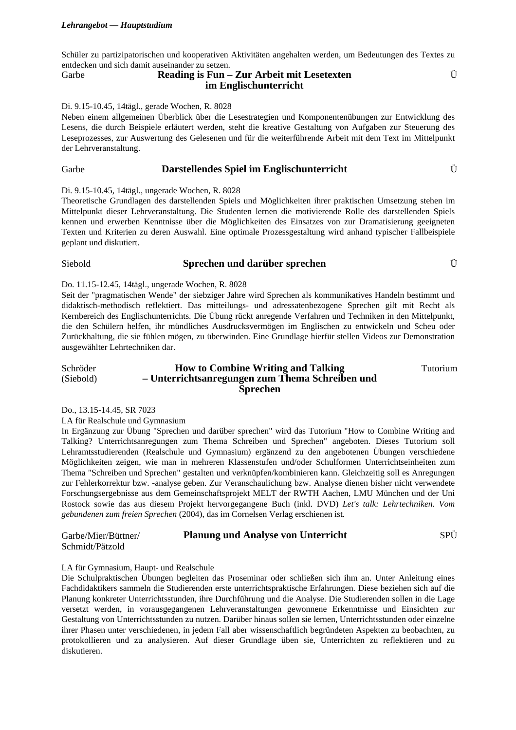Schüler zu partizipatorischen und kooperativen Aktivitäten angehalten werden, um Bedeutungen des Textes zu entdecken und sich damit auseinander zu setzen. Ü

# Garbe **Reading is Fun – Zur Arbeit mit Lesetexten im Englischunterricht**

#### Di. 9.15-10.45, 14tägl., gerade Wochen, R. 8028

Neben einem allgemeinen Überblick über die Lesestrategien und Komponentenübungen zur Entwicklung des Lesens, die durch Beispiele erläutert werden, steht die kreative Gestaltung von Aufgaben zur Steuerung des Leseprozesses, zur Auswertung des Gelesenen und für die weiterführende Arbeit mit dem Text im Mittelpunkt der Lehrveranstaltung.

# Garbe **Darstellendes Spiel im Englischunterricht** Ü

Di. 9.15-10.45, 14tägl., ungerade Wochen, R. 8028

Theoretische Grundlagen des darstellenden Spiels und Möglichkeiten ihrer praktischen Umsetzung stehen im Mittelpunkt dieser Lehrveranstaltung. Die Studenten lernen die motivierende Rolle des darstellenden Spiels kennen und erwerben Kenntnisse über die Möglichkeiten des Einsatzes von zur Dramatisierung geeigneten Texten und Kriterien zu deren Auswahl. Eine optimale Prozessgestaltung wird anhand typischer Fallbeispiele geplant und diskutiert.

# Siebold **Sprechen und darüber sprechen** Ü

#### Do. 11.15-12.45, 14tägl., ungerade Wochen, R. 8028

Seit der "pragmatischen Wende" der siebziger Jahre wird Sprechen als kommunikatives Handeln bestimmt und didaktisch-methodisch reflektiert. Das mitteilungs- und adressatenbezogene Sprechen gilt mit Recht als Kernbereich des Englischunterrichts. Die Übung rückt anregende Verfahren und Techniken in den Mittelpunkt, die den Schülern helfen, ihr mündliches Ausdrucksvermögen im Englischen zu entwickeln und Scheu oder Zurückhaltung, die sie fühlen mögen, zu überwinden. Eine Grundlage hierfür stellen Videos zur Demonstration ausgewählter Lehrtechniken dar.

#### Schröder (Siebold) **How to Combine Writing and Talking – Unterrichtsanregungen zum Thema Schreiben und Sprechen**

Tutorium

Do., 13.15-14.45, SR 7023

LA für Realschule und Gymnasium

In Ergänzung zur Übung "Sprechen und darüber sprechen" wird das Tutorium "How to Combine Writing and Talking? Unterrichtsanregungen zum Thema Schreiben und Sprechen" angeboten. Dieses Tutorium soll Lehramtsstudierenden (Realschule und Gymnasium) ergänzend zu den angebotenen Übungen verschiedene Möglichkeiten zeigen, wie man in mehreren Klassenstufen und/oder Schulformen Unterrichtseinheiten zum Thema "Schreiben und Sprechen" gestalten und verknüpfen/kombinieren kann. Gleichzeitig soll es Anregungen zur Fehlerkorrektur bzw. -analyse geben. Zur Veranschaulichung bzw. Analyse dienen bisher nicht verwendete Forschungsergebnisse aus dem Gemeinschaftsprojekt MELT der RWTH Aachen, LMU München und der Uni Rostock sowie das aus diesem Projekt hervorgegangene Buch (inkl. DVD) *Let's talk: Lehrtechniken. Vom gebundenen zum freien Sprechen* (2004), das im Cornelsen Verlag erschienen ist.

| Garbe/Mier/Büttner/ | <b>Planung und Analyse von Unterricht</b> | SPÜ |
|---------------------|-------------------------------------------|-----|
| Schmidt/Pätzold     |                                           |     |

### LA für Gymnasium, Haupt- und Realschule

Die Schulpraktischen Übungen begleiten das Proseminar oder schließen sich ihm an. Unter Anleitung eines Fachdidaktikers sammeln die Studierenden erste unterrichtspraktische Erfahrungen. Diese beziehen sich auf die Planung konkreter Unterrichtsstunden, ihre Durchführung und die Analyse. Die Studierenden sollen in die Lage versetzt werden, in vorausgegangenen Lehrveranstaltungen gewonnene Erkenntnisse und Einsichten zur Gestaltung von Unterrichtsstunden zu nutzen. Darüber hinaus sollen sie lernen, Unterrichtsstunden oder einzelne ihrer Phasen unter verschiedenen, in jedem Fall aber wissenschaftlich begründeten Aspekten zu beobachten, zu protokollieren und zu analysieren. Auf dieser Grundlage üben sie, Unterrichten zu reflektieren und zu diskutieren.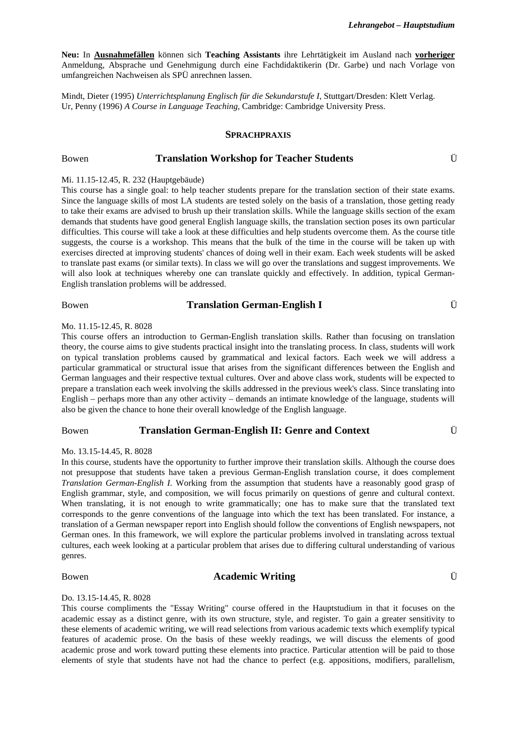**Neu:** In **Ausnahmefällen** können sich **Teaching Assistants** ihre Lehrtätigkeit im Ausland nach **vorheriger** Anmeldung, Absprache und Genehmigung durch eine Fachdidaktikerin (Dr. Garbe) und nach Vorlage von umfangreichen Nachweisen als SPÜ anrechnen lassen.

Mindt, Dieter (1995) *Unterrichtsplanung Englisch für die Sekundarstufe I*, Stuttgart/Dresden: Klett Verlag. Ur, Penny (1996) *A Course in Language Teaching*, Cambridge: Cambridge University Press.

#### **SPRACHPRAXIS**

#### Bowen **Translation Workshop for Teacher Students** Ü

#### Mi. 11.15-12.45, R. 232 (Hauptgebäude)

This course has a single goal: to help teacher students prepare for the translation section of their state exams. Since the language skills of most LA students are tested solely on the basis of a translation, those getting ready to take their exams are advised to brush up their translation skills. While the language skills section of the exam demands that students have good general English language skills, the translation section poses its own particular difficulties. This course will take a look at these difficulties and help students overcome them. As the course title suggests, the course is a workshop. This means that the bulk of the time in the course will be taken up with exercises directed at improving students' chances of doing well in their exam. Each week students will be asked to translate past exams (or similar texts). In class we will go over the translations and suggest improvements. We will also look at techniques whereby one can translate quickly and effectively. In addition, typical German-English translation problems will be addressed.

# Bowen **Translation German-English I U U**

### Mo. 11.15-12.45, R. 8028

This course offers an introduction to German-English translation skills. Rather than focusing on translation theory, the course aims to give students practical insight into the translating process. In class, students will work on typical translation problems caused by grammatical and lexical factors. Each week we will address a particular grammatical or structural issue that arises from the significant differences between the English and German languages and their respective textual cultures. Over and above class work, students will be expected to prepare a translation each week involving the skills addressed in the previous week's class. Since translating into English – perhaps more than any other activity – demands an intimate knowledge of the language, students will also be given the chance to hone their overall knowledge of the English language.

### Bowen **Translation German-English II: Genre and Context** Ü

#### Mo. 13.15-14.45, R. 8028

In this course, students have the opportunity to further improve their translation skills. Although the course does not presuppose that students have taken a previous German-English translation course, it does complement *Translation German-English I*. Working from the assumption that students have a reasonably good grasp of English grammar, style, and composition, we will focus primarily on questions of genre and cultural context. When translating, it is not enough to write grammatically; one has to make sure that the translated text corresponds to the genre conventions of the language into which the text has been translated. For instance, a translation of a German newspaper report into English should follow the conventions of English newspapers, not German ones. In this framework, we will explore the particular problems involved in translating across textual cultures, each week looking at a particular problem that arises due to differing cultural understanding of various genres.

# Bowen **Academic Writing U**  $\ddot{\text{U}}$

#### Do. 13.15-14.45, R. 8028

This course compliments the "Essay Writing" course offered in the Hauptstudium in that it focuses on the academic essay as a distinct genre, with its own structure, style, and register. To gain a greater sensitivity to these elements of academic writing, we will read selections from various academic texts which exemplify typical features of academic prose. On the basis of these weekly readings, we will discuss the elements of good academic prose and work toward putting these elements into practice. Particular attention will be paid to those elements of style that students have not had the chance to perfect (e.g. appositions, modifiers, parallelism,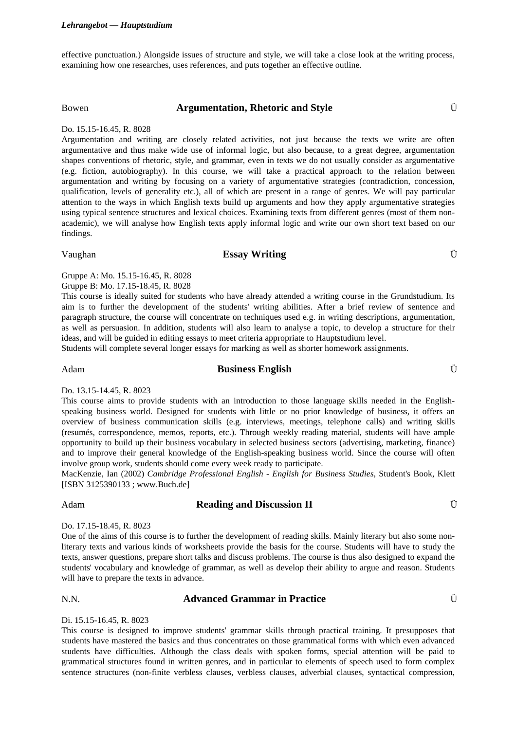#### *Lehrangebot –– Hauptstudium*

effective punctuation.) Alongside issues of structure and style, we will take a close look at the writing process, examining how one researches, uses references, and puts together an effective outline.

#### Bowen **Argumentation, Rhetoric and Style** Ü

#### Do. 15.15-16.45, R. 8028

Argumentation and writing are closely related activities, not just because the texts we write are often argumentative and thus make wide use of informal logic, but also because, to a great degree, argumentation shapes conventions of rhetoric, style, and grammar, even in texts we do not usually consider as argumentative (e.g. fiction, autobiography). In this course, we will take a practical approach to the relation between argumentation and writing by focusing on a variety of argumentative strategies (contradiction, concession, qualification, levels of generality etc.), all of which are present in a range of genres. We will pay particular attention to the ways in which English texts build up arguments and how they apply argumentative strategies using typical sentence structures and lexical choices. Examining texts from different genres (most of them nonacademic), we will analyse how English texts apply informal logic and write our own short text based on our findings.

# Vaughan **Essay Writing** Ü

Gruppe A: Mo. 15.15-16.45, R. 8028

Gruppe B: Mo. 17.15-18.45, R. 8028 This course is ideally suited for students who have already attended a writing course in the Grundstudium. Its aim is to further the development of the students' writing abilities. After a brief review of sentence and paragraph structure, the course will concentrate on techniques used e.g. in writing descriptions, argumentation, as well as persuasion. In addition, students will also learn to analyse a topic, to develop a structure for their

Students will complete several longer essays for marking as well as shorter homework assignments.

ideas, and will be guided in editing essays to meet criteria appropriate to Hauptstudium level.

# Adam **Business English** Ü

Do. 13.15-14.45, R. 8023

This course aims to provide students with an introduction to those language skills needed in the Englishspeaking business world. Designed for students with little or no prior knowledge of business, it offers an overview of business communication skills (e.g. interviews, meetings, telephone calls) and writing skills (resumés, correspondence, memos, reports, etc.). Through weekly reading material, students will have ample opportunity to build up their business vocabulary in selected business sectors (advertising, marketing, finance) and to improve their general knowledge of the English-speaking business world. Since the course will often involve group work, students should come every week ready to participate.

MacKenzie, Ian (2002) *Cambridge Professional English - English for Business Studies*, Student's Book, Klett [ISBN 3125390133 ; www.Buch.de]

# Adam **Reading and Discussion II** Ü

Do. 17.15-18.45, R. 8023

One of the aims of this course is to further the development of reading skills. Mainly literary but also some nonliterary texts and various kinds of worksheets provide the basis for the course. Students will have to study the texts, answer questions, prepare short talks and discuss problems. The course is thus also designed to expand the students' vocabulary and knowledge of grammar, as well as develop their ability to argue and reason. Students will have to prepare the texts in advance.

#### N.N. **Advanced Grammar in Practice** Ü

# Di. 15.15-16.45, R. 8023

This course is designed to improve students' grammar skills through practical training. It presupposes that students have mastered the basics and thus concentrates on those grammatical forms with which even advanced students have difficulties. Although the class deals with spoken forms, special attention will be paid to grammatical structures found in written genres, and in particular to elements of speech used to form complex sentence structures (non-finite verbless clauses, verbless clauses, adverbial clauses, syntactical compression,